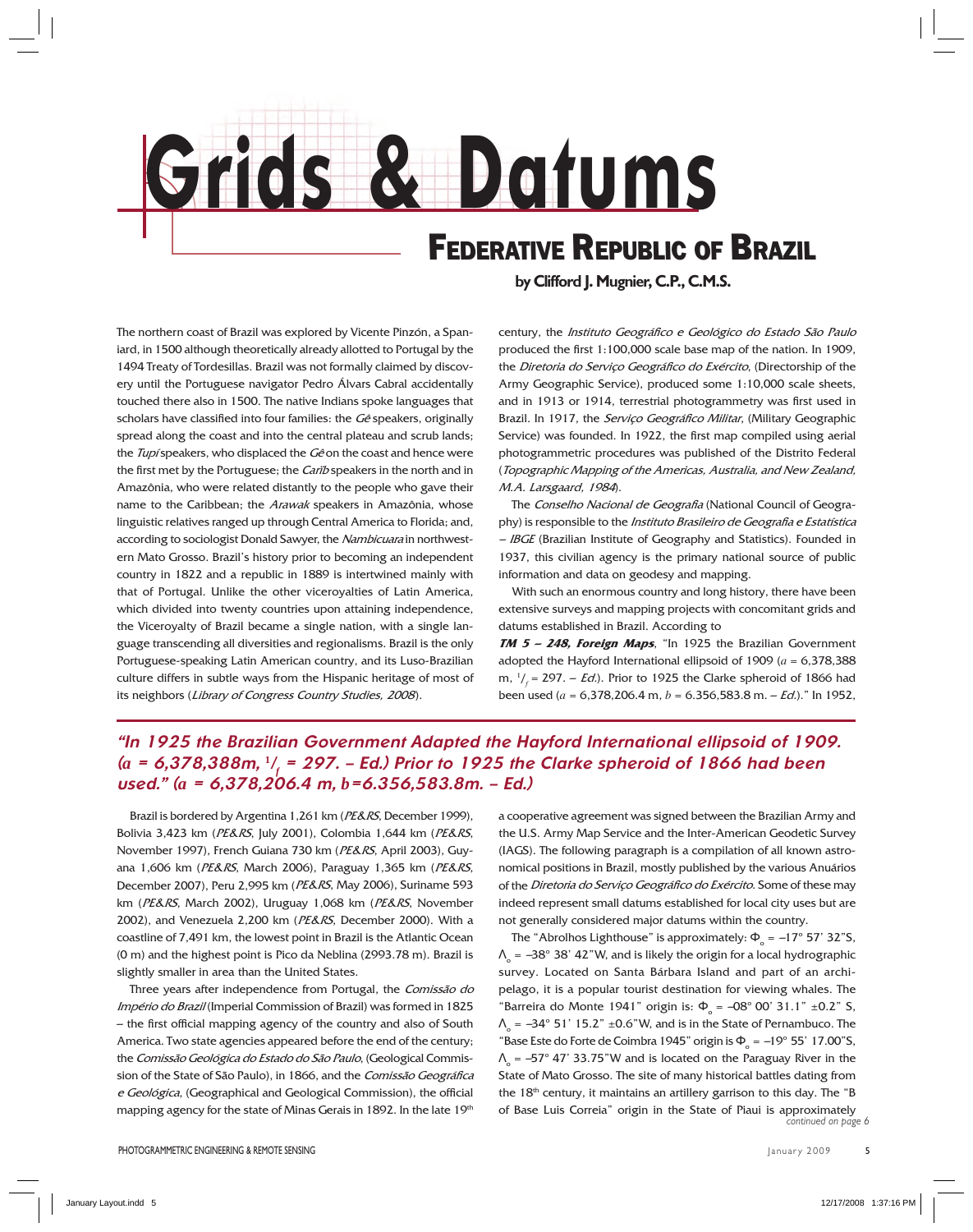

The northern coast of Brazil was explored by Vicente Pinzón, a Spaniard, in 1500 although theoretically already allotted to Portugal by the 1494 Treaty of Tordesillas. Brazil was not formally claimed by discovery until the Portuguese navigator Pedro Álvars Cabral accidentally touched there also in 1500. The native Indians spoke languages that scholars have classified into four families: the  $G\hat{e}$  speakers, originally spread along the coast and into the central plateau and scrub lands; the Tupí speakers, who displaced the Gê on the coast and hence were the first met by the Portuguese; the Carib speakers in the north and in Amazônia, who were related distantly to the people who gave their name to the Caribbean; the Arawak speakers in Amazônia, whose linguistic relatives ranged up through Central America to Florida; and, according to sociologist Donald Sawyer, the Nambicuara in northwestern Mato Grosso. Brazil's history prior to becoming an independent country in 1822 and a republic in 1889 is intertwined mainly with that of Portugal. Unlike the other viceroyalties of Latin America, which divided into twenty countries upon attaining independence, the Viceroyalty of Brazil became a single nation, with a single language transcending all diversities and regionalisms. Brazil is the only Portuguese-speaking Latin American country, and its Luso-Brazilian culture differs in subtle ways from the Hispanic heritage of most of its neighbors (Library of Congress Country Studies, 2008).

**by Clifford J. Mugnier, C.P., C.M.S.**

century, the Instituto Geográfico e Geológico do Estado São Paulo produced the first 1:100,000 scale base map of the nation. In 1909, the Diretoria do Serviço Geográfico do Exército, (Directorship of the Army Geographic Service), produced some 1:10,000 scale sheets, and in 1913 or 1914, terrestrial photogrammetry was first used in Brazil. In 1917, the Serviço Geográfico Militar, (Military Geographic Service) was founded. In 1922, the first map compiled using aerial photogrammetric procedures was published of the Distrito Federal (Topographic Mapping of the Americas, Australia, and New Zealand, M.A. Larsgaard, 1984).

The Conselho Nacional de Geografia (National Council of Geography) is responsible to the Instituto Brasileiro de Geografia e Estatística  $-$  IBGE (Brazilian Institute of Geography and Statistics). Founded in 1937, this civilian agency is the primary national source of public information and data on geodesy and mapping.

 With such an enormous country and long history, there have been extensive surveys and mapping projects with concomitant grids and datums established in Brazil. According to

**TM 5 – 248, Foreign Maps**, "In 1925 the Brazilian Government adopted the Hayford International ellipsoid of 1909 (*a* = 6,378,388 m, 1 /*f* = 297. – Ed.). Prior to 1925 the Clarke spheroid of 1866 had been used (*a* = 6,378,206.4 m, *b* = 6.356,583.8 m. – Ed.)." In 1952,

## *"In 1925 the Brazilian Government Adapted the Hayford International ellipsoid of 1909. (a = 6,378,388m,* **<sup>1</sup>** */ f = 297. – Ed.) Prior to 1925 the Clarke spheroid of 1866 had been used." (a = 6,378,206.4 m, b=6.356,583.8m. – Ed.)*

Brazil is bordered by Argentina 1,261 km (PE&RS, December 1999), Bolivia 3,423 km (PE&RS, July 2001), Colombia 1,644 km (PE&RS, November 1997), French Guiana 730 km (PE&RS, April 2003), Guyana 1,606 km (PE&RS, March 2006), Paraguay 1,365 km (PE&RS, December 2007), Peru 2,995 km (PE&RS, May 2006), Suriname 593 km (PE&RS, March 2002), Uruguay 1,068 km (PE&RS, November 2002), and Venezuela 2,200 km (PE&RS, December 2000). With a coastline of 7,491 km, the lowest point in Brazil is the Atlantic Ocean (0 m) and the highest point is Pico da Neblina (2993.78 m). Brazil is slightly smaller in area than the United States.

Three years after independence from Portugal, the Comissão do Império do Brazil (Imperial Commission of Brazil) was formed in 1825  $-$  the first official mapping agency of the country and also of South America. Two state agencies appeared before the end of the century; the Comissão Geológica do Estado do São Paulo, (Geological Commission of the State of São Paulo), in 1866, and the Comissão Geográfica e Geológica, (Geographical and Geological Commission), the official mapping agency for the state of Minas Gerais in 1892. In the late 19th

a cooperative agreement was signed between the Brazilian Army and the U.S. Army Map Service and the Inter-American Geodetic Survey (IAGS). The following paragraph is a compilation of all known astronomical positions in Brazil, mostly published by the various Anuários of the Diretoria do Serviço Geográfico do Exército. Some of these may indeed represent small datums established for local city uses but are not generally considered major datums within the country.

*continued on page 6* The "Abrolhos Lighthouse" is approximately:  $\Phi_{\rm o} = -17^{\circ}$  57' 32"S,  $\Lambda$ <sub>o</sub> = –38° 38' 42"W, and is likely the origin for a local hydrographic survey. Located on Santa Bárbara Island and part of an archipelago, it is a popular tourist destination for viewing whales. The "Barreira do Monte 1941" origin is:  $\Phi_{\circ} = -08^{\circ}$  00' 31.1" ±0.2" S,  $\Lambda$ <sub>o</sub> =  $-34^{\circ}$  51' 15.2" ±0.6"W, and is in the State of Pernambuco. The "Base Este do Forte de Coimbra 1945" origin is  $\Phi_{\circ} = -19^{\circ}$  55' 17.00"S,  $\Lambda$ <sub>o</sub> = –57° 47' 33.75"W and is located on the Paraguay River in the State of Mato Grosso. The site of many historical battles dating from the 18<sup>th</sup> century, it maintains an artillery garrison to this day. The "B of Base Luis Correia" origin in the State of Piaui is approximately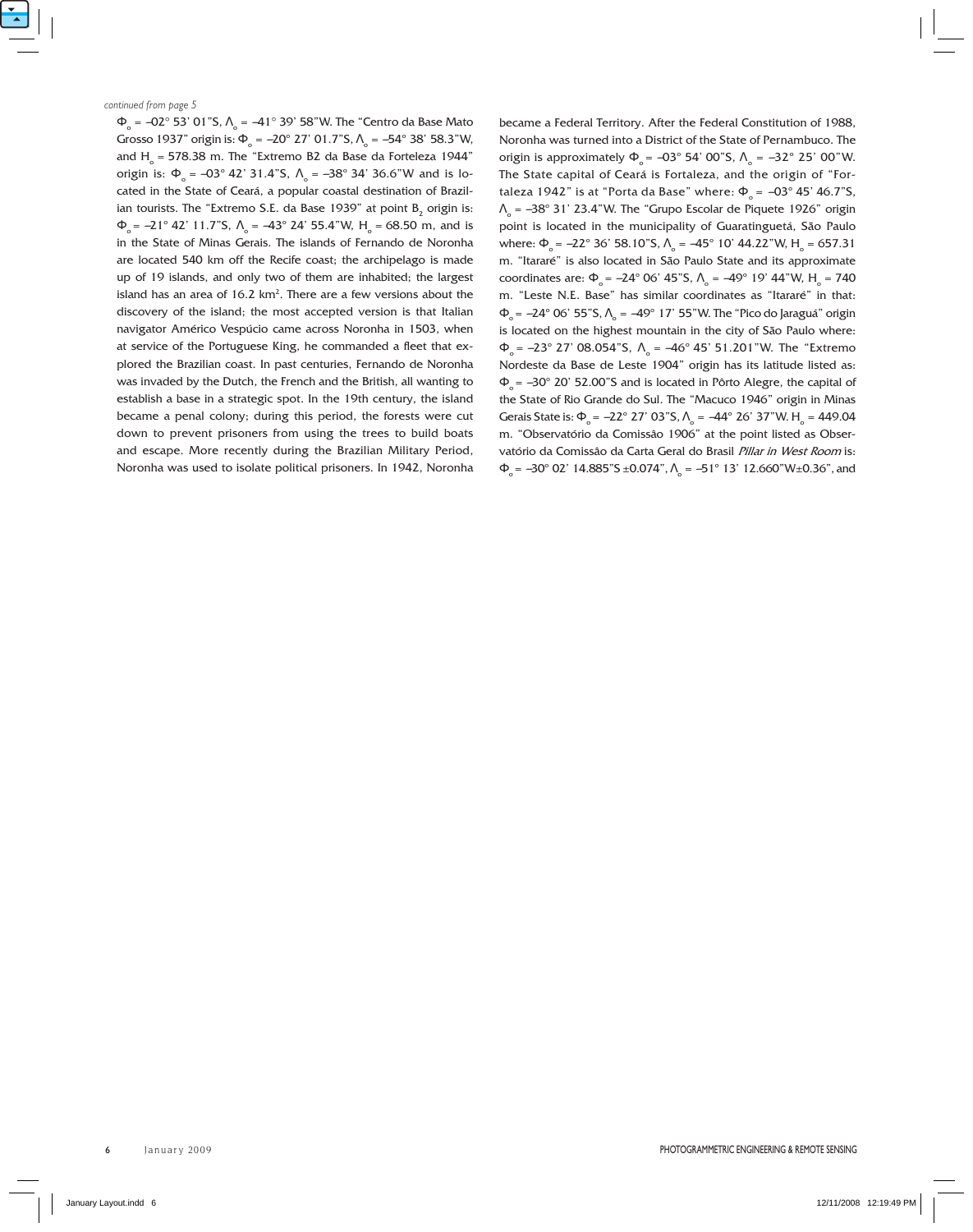$\Phi_{\rm o}$  = –02° 53' 01"S,  $\Lambda_{\rm o}$  = –41° 39' 58"W. The "Centro da Base Mato Grosso 1937" origin is: Φ<sub>o</sub> =  $-20^{\circ}$  27' 01.7"S, Λ<sub>o</sub> =  $-54^{\circ}$  38' 58.3"W, and  $H_{\circ}$  = 578.38 m. The "Extremo B2 da Base da Forteleza 1944" origin is:  $\Phi_{0} = -03^{\circ}$  42' 31.4"S,  $\Lambda_{0} = -38^{\circ}$  34' 36.6"W and is located in the State of Ceará, a popular coastal destination of Brazilian tourists. The "Extremo S.E. da Base 1939" at point  $B_2$  origin is:  $\Phi_{\circ}$  = -21° 42' 11.7"S,  $\Lambda_{\circ}$  = -43° 24' 55.4"W, H<sub>o</sub> = 68.50 m, and is in the State of Minas Gerais. The islands of Fernando de Noronha are located 540 km off the Recife coast; the archipelago is made up of 19 islands, and only two of them are inhabited; the largest island has an area of  $16.2 \text{ km}^2$ . There are a few versions about the discovery of the island; the most accepted version is that Italian navigator Américo Vespúcio came across Noronha in 1503, when at service of the Portuguese King, he commanded a fleet that explored the Brazilian coast. In past centuries, Fernando de Noronha was invaded by the Dutch, the French and the British, all wanting to establish a base in a strategic spot. In the 19th century, the island became a penal colony; during this period, the forests were cut down to prevent prisoners from using the trees to build boats and escape. More recently during the Brazilian Military Period, Noronha was used to isolate political prisoners. In 1942, Noronha

became a Federal Territory. After the Federal Constitution of 1988, Noronha was turned into a District of the State of Pernambuco. The origin is approximately  $\Phi_0 = -03^\circ 54' 00''S$ ,  $Λ_0 = -32^\circ 25' 00''W$ . The State capital of Ceará is Fortaleza, and the origin of "Fortaleza 1942" is at "Porta da Base" where:  $\Phi$ <sub>s</sub> =  $-03^{\circ}$  45' 46.7"S,  $\Lambda$ <sub>o</sub> = –38° 31' 23.4"W. The "Grupo Escolar de Piquete 1926" origin point is located in the municipality of Guaratinguetá, São Paulo where: Φ<sub>ο</sub> =  $-22^{\circ}$  36' 58.10"S, Λ<sub>ο</sub> =  $-45^{\circ}$  10' 44.22"W, H<sub>o</sub> = 657.31 m. "Itararé" is also located in São Paulo State and its approximate coordinates are: Φ<sub>o</sub> = –24° 06' 45"S, Λ<sub>o</sub> = –49° 19' 44"W, H<sub>o</sub> = 740 m. "Leste N.E. Base" has similar coordinates as "Itararé" in that:  $\Phi_{\rm o}$ = –24° 06' 55"S, Λ $_{\rm o}$  = –49° 17' 55"W. The "Pico do Jaraguá" origin is located on the highest mountain in the city of São Paulo where:  $Φ<sub>o</sub> = -23° 27' 08.054"$ S,  $Λ<sub>o</sub> = -46° 45' 51.201"$ W. The "Extremo" Nordeste da Base de Leste 1904" origin has its latitude listed as:  $\Phi$ <sub>s</sub> =  $-30^{\circ}$  20' 52.00"S and is located in Pôrto Alegre, the capital of the State of Rio Grande do Sul. The "Macuco 1946" origin in Minas Gerais State is: Φ<sub>o</sub> =  $-22^{\circ}$  27' 03"S, Λ<sub>o</sub> =  $-44^{\circ}$  26' 37"W. H<sub>o</sub> = 449.04 m. "Observatório da Comissâo 1906" at the point listed as Observatório da Comissâo da Carta Geral do Brasil Pillar in West Room is:  $\Phi_{\rm o}$  = -30° 02' 14.885"S ±0.074",  $\Lambda_{\rm o}$  = -51° 13' 12.660"W±0.36", and